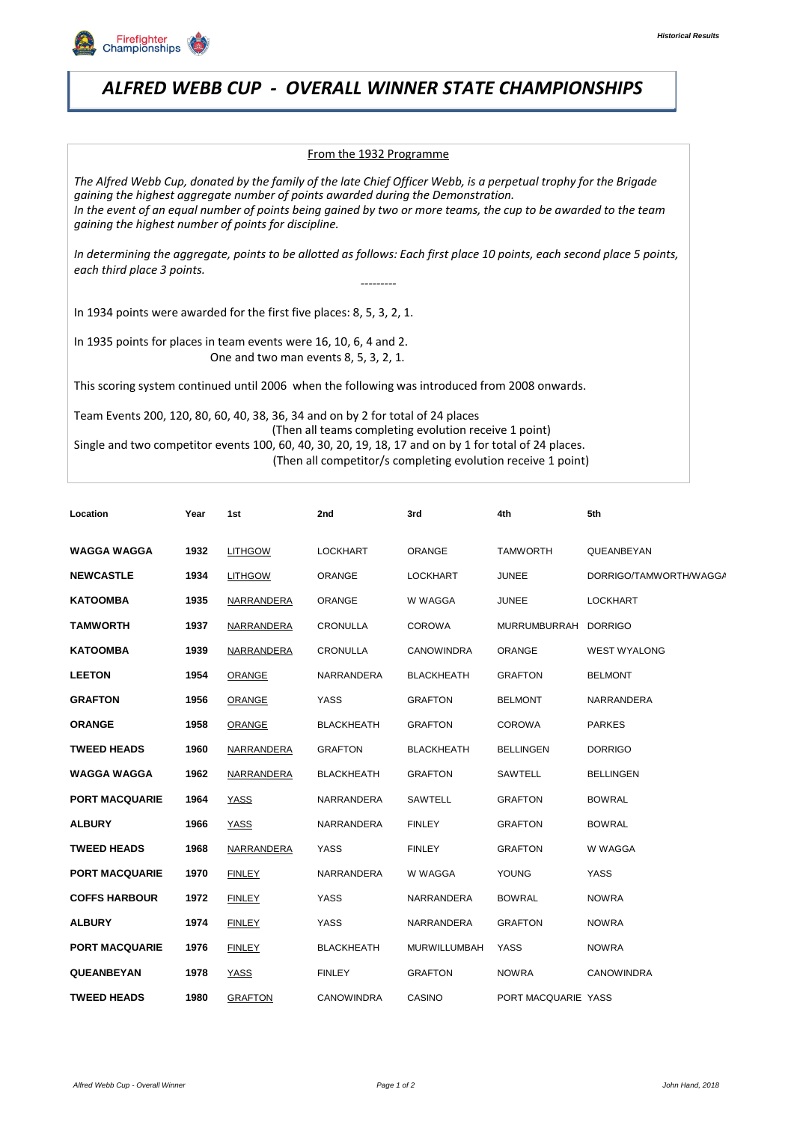

## **ALFRED WEBB CUP - OVERALL WINNER STATE CHAMPIONSHIPS ALFRED WEBB CUP** *ALFRED WEBB CUP - OVERALL WINNER STATE CHAMPIONSHIPS*

## From the 1932 Programme

*The Alfred Webb Cup, donated by the family of the late Chief Officer Webb, is a perpetual trophy for the Brigade gaining the highest aggregate number of points awarded during the Demonstration. In the event of an equal number of points being gained by two or more teams, the cup to be awarded to the team gaining the highest number of points for discipline.*

*In determining the aggregate, points to be allotted as follows: Each first place 10 points, each second place 5 points, each third place 3 points. ---------*

In 1934 points were awarded for the first five places: 8, 5, 3, 2, 1.

In 1935 points for places in team events were 16, 10, 6, 4 and 2. One and two man events 8, 5, 3, 2, 1.

This scoring system continued until 2006 when the following was introduced from 2008 onwards.

Team Events 200, 120, 80, 60, 40, 38, 36, 34 and on by 2 for total of 24 places (Then all teams completing evolution receive 1 point) Single and two competitor events 100, 60, 40, 30, 20, 19, 18, 17 and on by 1 for total of 24 places. (Then all competitor/s completing evolution receive 1 point)

| Location              | Year | 1st               | 2nd               | 3rd                 | 4th                 | 5th                    |
|-----------------------|------|-------------------|-------------------|---------------------|---------------------|------------------------|
| <b>WAGGA WAGGA</b>    | 1932 | <b>LITHGOW</b>    | <b>LOCKHART</b>   | ORANGE              | <b>TAMWORTH</b>     | QUEANBEYAN             |
| <b>NEWCASTLE</b>      | 1934 | <b>LITHGOW</b>    | ORANGE            | <b>LOCKHART</b>     | <b>JUNEE</b>        | DORRIGO/TAMWORTH/WAGG/ |
| <b>KATOOMBA</b>       | 1935 | NARRANDERA        | ORANGE            | W WAGGA             | <b>JUNEE</b>        | <b>LOCKHART</b>        |
| <b>TAMWORTH</b>       | 1937 | <b>NARRANDERA</b> | CRONULLA          | <b>COROWA</b>       | MURRUMBURRAH        | <b>DORRIGO</b>         |
| <b>KATOOMBA</b>       | 1939 | NARRANDERA        | <b>CRONULLA</b>   | <b>CANOWINDRA</b>   | ORANGE              | <b>WEST WYALONG</b>    |
| <b>LEETON</b>         | 1954 | <b>ORANGE</b>     | NARRANDERA        | <b>BLACKHEATH</b>   | <b>GRAFTON</b>      | <b>BELMONT</b>         |
| <b>GRAFTON</b>        | 1956 | <b>ORANGE</b>     | <b>YASS</b>       | <b>GRAFTON</b>      | <b>BELMONT</b>      | NARRANDERA             |
| <b>ORANGE</b>         | 1958 | ORANGE            | <b>BLACKHEATH</b> | <b>GRAFTON</b>      | <b>COROWA</b>       | <b>PARKES</b>          |
| <b>TWEED HEADS</b>    | 1960 | <b>NARRANDERA</b> | <b>GRAFTON</b>    | <b>BLACKHEATH</b>   | <b>BELLINGEN</b>    | <b>DORRIGO</b>         |
| <b>WAGGA WAGGA</b>    | 1962 | NARRANDERA        | <b>BLACKHEATH</b> | <b>GRAFTON</b>      | SAWTELL             | <b>BELLINGEN</b>       |
| <b>PORT MACQUARIE</b> | 1964 | YASS              | NARRANDERA        | SAWTELL             | <b>GRAFTON</b>      | <b>BOWRAL</b>          |
| <b>ALBURY</b>         | 1966 | <b>YASS</b>       | NARRANDERA        | <b>FINLEY</b>       | <b>GRAFTON</b>      | <b>BOWRAL</b>          |
| <b>TWEED HEADS</b>    | 1968 | NARRANDERA        | <b>YASS</b>       | <b>FINLEY</b>       | <b>GRAFTON</b>      | W WAGGA                |
| <b>PORT MACQUARIE</b> | 1970 | <b>FINLEY</b>     | NARRANDERA        | W WAGGA             | YOUNG               | <b>YASS</b>            |
| <b>COFFS HARBOUR</b>  | 1972 | <b>FINLEY</b>     | <b>YASS</b>       | NARRANDERA          | <b>BOWRAL</b>       | <b>NOWRA</b>           |
| <b>ALBURY</b>         | 1974 | <b>FINLEY</b>     | <b>YASS</b>       | NARRANDERA          | <b>GRAFTON</b>      | <b>NOWRA</b>           |
| <b>PORT MACQUARIE</b> | 1976 | <b>FINLEY</b>     | <b>BLACKHEATH</b> | <b>MURWILLUMBAH</b> | <b>YASS</b>         | <b>NOWRA</b>           |
| <b>QUEANBEYAN</b>     | 1978 | YASS              | <b>FINLEY</b>     | <b>GRAFTON</b>      | <b>NOWRA</b>        | <b>CANOWINDRA</b>      |
| <b>TWEED HEADS</b>    | 1980 | <b>GRAFTON</b>    | <b>CANOWINDRA</b> | CASINO              | PORT MACQUARIE YASS |                        |